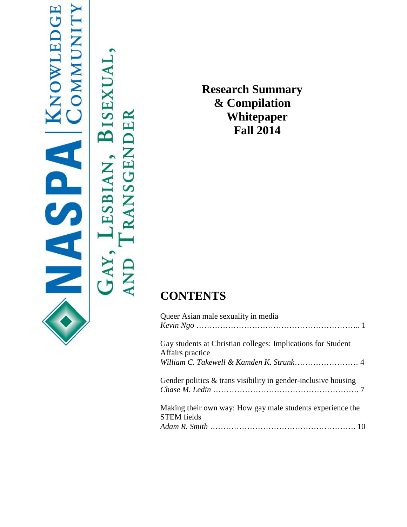# **KNOWLEDGE**<br>COMMUNITY NOSA

BISEXUAL, TRANSGENDER \_ESBIAN, GAY, **AND** 

**Research Summary & Compilation Whitepaper Fall 2014**

# **CONTENTS**

| Queer Asian male sexuality in media                                              |
|----------------------------------------------------------------------------------|
| Gay students at Christian colleges: Implications for Student<br>Affairs practice |
|                                                                                  |
| Gender politics $\&$ trans visibility in gender-inclusive housing                |
| Making their own way: How gay male students experience the<br><b>STEM</b> fields |
|                                                                                  |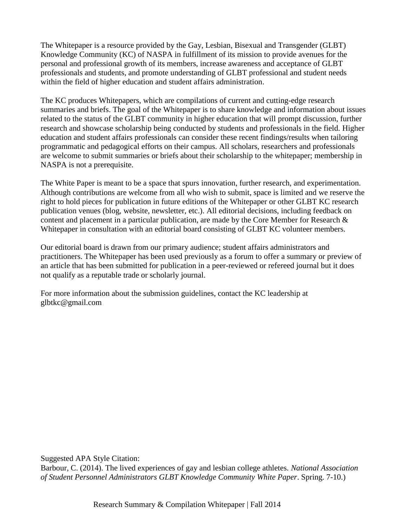The Whitepaper is a resource provided by the Gay, Lesbian, Bisexual and Transgender (GLBT) Knowledge Community (KC) of NASPA in fulfillment of its mission to provide avenues for the personal and professional growth of its members, increase awareness and acceptance of GLBT professionals and students, and promote understanding of GLBT professional and student needs within the field of higher education and student affairs administration.

The KC produces Whitepapers, which are compilations of current and cutting-edge research summaries and briefs. The goal of the Whitepaper is to share knowledge and information about issues related to the status of the GLBT community in higher education that will prompt discussion, further research and showcase scholarship being conducted by students and professionals in the field. Higher education and student affairs professionals can consider these recent findings/results when tailoring programmatic and pedagogical efforts on their campus. All scholars, researchers and professionals are welcome to submit summaries or briefs about their scholarship to the whitepaper; membership in NASPA is not a prerequisite.

The White Paper is meant to be a space that spurs innovation, further research, and experimentation. Although contributions are welcome from all who wish to submit, space is limited and we reserve the right to hold pieces for publication in future editions of the Whitepaper or other GLBT KC research publication venues (blog, website, newsletter, etc.). All editorial decisions, including feedback on content and placement in a particular publication, are made by the Core Member for Research & Whitepaper in consultation with an editorial board consisting of GLBT KC volunteer members.

Our editorial board is drawn from our primary audience; student affairs administrators and practitioners. The Whitepaper has been used previously as a forum to offer a summary or preview of an article that has been submitted for publication in a peer-reviewed or refereed journal but it does not qualify as a reputable trade or scholarly journal.

For more information about the submission guidelines, contact the KC leadership at glbtkc@gmail.com

Suggested APA Style Citation:

Barbour, C. (2014). The lived experiences of gay and lesbian college athletes. *National Association of Student Personnel Administrators GLBT Knowledge Community White Paper*. Spring. 7-10.)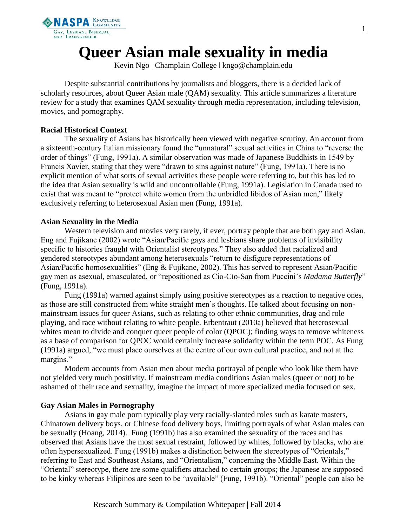

# **Queer Asian male sexuality in media**

Kevin Ngo ǀ Champlain College ǀ kngo@champlain.edu

Despite substantial contributions by journalists and bloggers, there is a decided lack of scholarly resources, about Queer Asian male (QAM) sexuality. This article summarizes a literature review for a study that examines QAM sexuality through media representation, including television, movies, and pornography.

## **Racial Historical Context**

The sexuality of Asians has historically been viewed with negative scrutiny. An account from a sixteenth-century Italian missionary found the "unnatural" sexual activities in China to "reverse the order of things" (Fung, 1991a). A similar observation was made of Japanese Buddhists in 1549 by Francis Xavier, stating that they were "drawn to sins against nature" (Fung, 1991a). There is no explicit mention of what sorts of sexual activities these people were referring to, but this has led to the idea that Asian sexuality is wild and uncontrollable (Fung, 1991a). Legislation in Canada used to exist that was meant to "protect white women from the unbridled libidos of Asian men," likely exclusively referring to heterosexual Asian men (Fung, 1991a).

## **Asian Sexuality in the Media**

Western television and movies very rarely, if ever, portray people that are both gay and Asian. Eng and Fujikane (2002) wrote "Asian/Pacific gays and lesbians share problems of invisibility specific to histories fraught with Orientalist stereotypes." They also added that racialized and gendered stereotypes abundant among heterosexuals "return to disfigure representations of Asian/Pacific homosexualities" (Eng & Fujikane, 2002). This has served to represent Asian/Pacific gay men as asexual, emasculated, or "repositioned as Cio-Cio-San from Puccini's *Madama Butterfly*" (Fung, 1991a).

Fung (1991a) warned against simply using positive stereotypes as a reaction to negative ones, as those are still constructed from white straight men's thoughts. He talked about focusing on nonmainstream issues for queer Asians, such as relating to other ethnic communities, drag and role playing, and race without relating to white people. Erbentraut (2010a) believed that heterosexual whites mean to divide and conquer queer people of color (QPOC); finding ways to remove whiteness as a base of comparison for QPOC would certainly increase solidarity within the term POC. As Fung (1991a) argued, "we must place ourselves at the centre of our own cultural practice, and not at the margins."

Modern accounts from Asian men about media portrayal of people who look like them have not yielded very much positivity. If mainstream media conditions Asian males (queer or not) to be ashamed of their race and sexuality, imagine the impact of more specialized media focused on sex.

# **Gay Asian Males in Pornography**

Asians in gay male porn typically play very racially-slanted roles such as karate masters, Chinatown delivery boys, or Chinese food delivery boys, limiting portrayals of what Asian males can be sexually (Hoang, 2014). Fung (1991b) has also examined the sexuality of the races and has observed that Asians have the most sexual restraint, followed by whites, followed by blacks, who are often hypersexualized. Fung (1991b) makes a distinction between the stereotypes of "Orientals," referring to East and Southeast Asians, and "Orientalism," concerning the Middle East. Within the "Oriental" stereotype, there are some qualifiers attached to certain groups; the Japanese are supposed to be kinky whereas Filipinos are seen to be "available" (Fung, 1991b). "Oriental" people can also be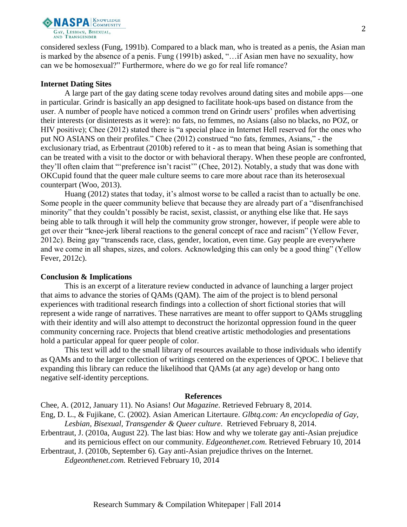

considered sexless (Fung, 1991b). Compared to a black man, who is treated as a penis, the Asian man is marked by the absence of a penis. Fung (1991b) asked, "…if Asian men have no sexuality, how can we be homosexual?" Furthermore, where do we go for real life romance?

#### **Internet Dating Sites**

A large part of the gay dating scene today revolves around dating sites and mobile apps—one in particular. Grindr is basically an app designed to facilitate hook-ups based on distance from the user. A number of people have noticed a common trend on Grindr users' profiles when advertising their interests (or disinterests as it were): no fats, no femmes, no Asians (also no blacks, no POZ, or HIV positive); Chee (2012) stated there is "a special place in Internet Hell reserved for the ones who put NO ASIANS on their profiles." Chee (2012) construed "no fats, femmes, Asians," - the exclusionary triad, as Erbentraut (2010b) refered to it - as to mean that being Asian is something that can be treated with a visit to the doctor or with behavioral therapy. When these people are confronted, they'll often claim that "'preference isn't racist'" (Chee, 2012). Notably, a study that was done with OKCupid found that the queer male culture seems to care more about race than its heterosexual counterpart (Woo, 2013).

Huang (2012) states that today, it's almost worse to be called a racist than to actually be one. Some people in the queer community believe that because they are already part of a "disenfranchised minority" that they couldn't possibly be racist, sexist, classist, or anything else like that. He says being able to talk through it will help the community grow stronger, however, if people were able to get over their "knee-jerk liberal reactions to the general concept of race and racism" (Yellow Fever, 2012c). Being gay "transcends race, class, gender, location, even time. Gay people are everywhere and we come in all shapes, sizes, and colors. Acknowledging this can only be a good thing" (Yellow Fever, 2012c).

#### **Conclusion & Implications**

This is an excerpt of a literature review conducted in advance of launching a larger project that aims to advance the stories of QAMs (QAM). The aim of the project is to blend personal experiences with traditional research findings into a collection of short fictional stories that will represent a wide range of narratives. These narratives are meant to offer support to QAMs struggling with their identity and will also attempt to deconstruct the horizontal oppression found in the queer community concerning race. Projects that blend creative artistic methodologies and presentations hold a particular appeal for queer people of color.

This text will add to the small library of resources available to those individuals who identify as QAMs and to the larger collection of writings centered on the experiences of QPOC. I believe that expanding this library can reduce the likelihood that QAMs (at any age) develop or hang onto negative self-identity perceptions.

#### **References**

Chee, A. (2012, January 11). No Asians! *Out Magazine*. Retrieved February 8, 2014.

Eng, D. L., & Fujikane, C. (2002). Asian American Litertaure. *Glbtq.com: An encyclopedia of Gay, Lesbian, Bisexual, Transgender & Queer culture*. Retrieved February 8, 2014.

Erbentraut, J. (2010a, August 22). The last bias: How and why we tolerate gay anti-Asian prejudice and its pernicious effect on our community. *Edgeonthenet.com*. Retrieved February 10, 2014

Erbentraut, J. (2010b, September 6). Gay anti-Asian prejudice thrives on the Internet.

*Edgeonthenet.com.* Retrieved February 10, 2014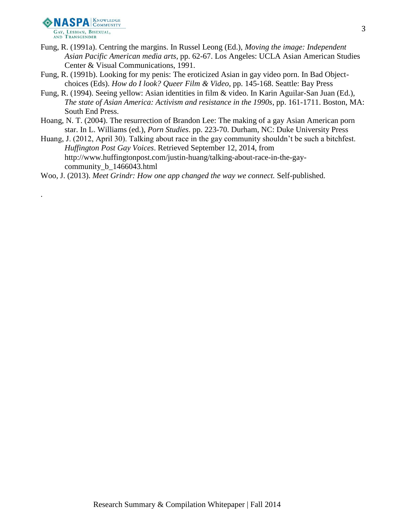

.

- Fung, R. (1991a). Centring the margins. In Russel Leong (Ed.), *Moving the image: Independent Asian Pacific American media arts*, pp. 62-67. Los Angeles: UCLA Asian American Studies Center & Visual Communications, 1991.
- Fung, R. (1991b). Looking for my penis: The eroticized Asian in gay video porn. In Bad Objectchoices (Eds). *How do I look? Queer Film & Video*, pp. 145-168. Seattle: Bay Press
- Fung, R. (1994). Seeing yellow: Asian identities in film & video. In Karin Aguilar-San Juan (Ed.), *The state of Asian America: Activism and resistance in the 1990s*, pp. 161-1711. Boston, MA: South End Press.
- Hoang, N. T. (2004). The resurrection of Brandon Lee: The making of a gay Asian American porn star. In L. Williams (ed.), *Porn Studies*. pp. 223-70. Durham, NC: Duke University Press
- Huang, J. (2012, April 30). Talking about race in the gay community shouldn't be such a bitchfest. *Huffington Post Gay Voices*. Retrieved September 12, 2014, from http://www.huffingtonpost.com/justin-huang/talking-about-race-in-the-gaycommunity\_b\_1466043.html

Woo, J. (2013). *Meet Grindr: How one app changed the way we connect.* Self-published.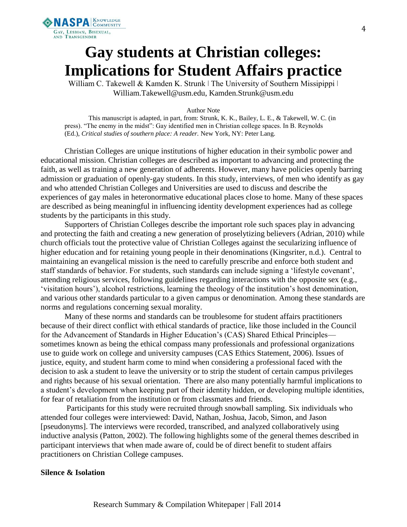

# **Gay students at Christian colleges: Implications for Student Affairs practice**

William C. Takewell & Kamden K. Strunk | The University of Southern Missipippi | William.Takewell@usm.edu, Kamden.Strunk@usm.edu

#### Author Note

This manuscript is adapted, in part, from: Strunk, K. K., Bailey, L. E., & Takewell, W. C. (in press). "The enemy in the midst": Gay identified men in Christian college spaces. In B. Reynolds (Ed.), *Critical studies of southern place: A reader.* New York, NY: Peter Lang.

Christian Colleges are unique institutions of higher education in their symbolic power and educational mission. Christian colleges are described as important to advancing and protecting the faith, as well as training a new generation of adherents. However, many have policies openly barring admission or graduation of openly-gay students. In this study, interviews, of men who identify as gay and who attended Christian Colleges and Universities are used to discuss and describe the experiences of gay males in heteronormative educational places close to home. Many of these spaces are described as being meaningful in influencing identity development experiences had as college students by the participants in this study.

Supporters of Christian Colleges describe the important role such spaces play in advancing and protecting the faith and creating a new generation of proselytizing believers (Adrian, 2010) while church officials tout the protective value of Christian Colleges against the secularizing influence of higher education and for retaining young people in their denominations (Kingsriter, n.d.). Central to maintaining an evangelical mission is the need to carefully prescribe and enforce both student and staff standards of behavior. For students, such standards can include signing a 'lifestyle covenant', attending religious services, following guidelines regarding interactions with the opposite sex (e.g., 'visitation hours'), alcohol restrictions, learning the theology of the institution's host denomination, and various other standards particular to a given campus or denomination. Among these standards are norms and regulations concerning sexual morality.

Many of these norms and standards can be troublesome for student affairs practitioners because of their direct conflict with ethical standards of practice, like those included in the Council for the Advancement of Standards in Higher Education's (CAS) Shared Ethical Principles sometimes known as being the ethical compass many professionals and professional organizations use to guide work on college and university campuses (CAS Ethics Statement, 2006). Issues of justice, equity, and student harm come to mind when considering a professional faced with the decision to ask a student to leave the university or to strip the student of certain campus privileges and rights because of his sexual orientation. There are also many potentially harmful implications to a student's development when keeping part of their identity hidden, or developing multiple identities, for fear of retaliation from the institution or from classmates and friends.

Participants for this study were recruited through snowball sampling. Six individuals who attended four colleges were interviewed: David, Nathan, Joshua, Jacob, Simon, and Jason [pseudonyms]. The interviews were recorded, transcribed, and analyzed collaboratively using inductive analysis (Patton, 2002). The following highlights some of the general themes described in participant interviews that when made aware of, could be of direct benefit to student affairs practitioners on Christian College campuses.

### **Silence & Isolation**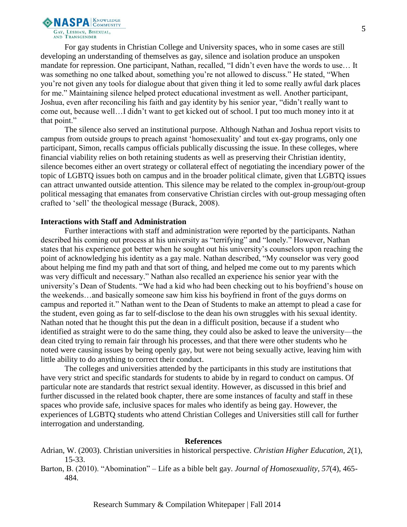

For gay students in Christian College and University spaces, who in some cases are still developing an understanding of themselves as gay, silence and isolation produce an unspoken mandate for repression. One participant, Nathan, recalled, "I didn't even have the words to use… It was something no one talked about, something you're not allowed to discuss." He stated, "When you're not given any tools for dialogue about that given thing it led to some really awful dark places for me." Maintaining silence helped protect educational investment as well. Another participant, Joshua, even after reconciling his faith and gay identity by his senior year, "didn't really want to come out, because well…I didn't want to get kicked out of school. I put too much money into it at that point."

The silence also served an institutional purpose. Although Nathan and Joshua report visits to campus from outside groups to preach against 'homosexuality' and tout ex-gay programs, only one participant, Simon, recalls campus officials publically discussing the issue. In these colleges, where financial viability relies on both retaining students as well as preserving their Christian identity, silence becomes either an overt strategy or collateral effect of negotiating the incendiary power of the topic of LGBTQ issues both on campus and in the broader political climate, given that LGBTQ issues can attract unwanted outside attention. This silence may be related to the complex in-group/out-group political messaging that emanates from conservative Christian circles with out-group messaging often crafted to 'sell' the theological message (Burack, 2008).

#### **Interactions with Staff and Administration**

Further interactions with staff and administration were reported by the participants. Nathan described his coming out process at his university as "terrifying" and "lonely." However, Nathan states that his experience got better when he sought out his university's counselors upon reaching the point of acknowledging his identity as a gay male. Nathan described, "My counselor was very good about helping me find my path and that sort of thing, and helped me come out to my parents which was very difficult and necessary." Nathan also recalled an experience his senior year with the university's Dean of Students. "We had a kid who had been checking out to his boyfriend's house on the weekends…and basically someone saw him kiss his boyfriend in front of the guys dorms on campus and reported it." Nathan went to the Dean of Students to make an attempt to plead a case for the student, even going as far to self-disclose to the dean his own struggles with his sexual identity. Nathan noted that he thought this put the dean in a difficult position, because if a student who identified as straight were to do the same thing, they could also be asked to leave the university—the dean cited trying to remain fair through his processes, and that there were other students who he noted were causing issues by being openly gay, but were not being sexually active, leaving him with little ability to do anything to correct their conduct.

The colleges and universities attended by the participants in this study are institutions that have very strict and specific standards for students to abide by in regard to conduct on campus. Of particular note are standards that restrict sexual identity. However, as discussed in this brief and further discussed in the related book chapter, there are some instances of faculty and staff in these spaces who provide safe, inclusive spaces for males who identify as being gay. However, the experiences of LGBTQ students who attend Christian Colleges and Universities still call for further interrogation and understanding.

#### **References**

- Adrian, W. (2003). Christian universities in historical perspective. *Christian Higher Education, 2*(1), 15-33.
- Barton, B. (2010). "Abomination" Life as a bible belt gay. *Journal of Homosexuality, 57*(4), 465- 484.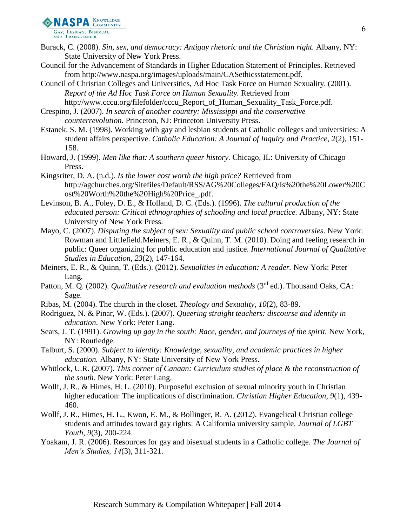

- Burack, C. (2008). *Sin, sex, and democracy: Antigay rhetoric and the Christian right.* Albany, NY: State University of New York Press.
- Council for the Advancement of Standards in Higher Education Statement of Principles. Retrieved from http://www.naspa.org/images/uploads/main/CASethicsstatement.pdf.
- Council of Christian Colleges and Universities, Ad Hoc Task Force on Human Sexuality. (2001). *Report of the Ad Hoc Task Force on Human Sexuality.* Retrieved from http://www.cccu.org/filefolder/cccu\_Report\_of\_Human\_Sexuality\_Task\_Force.pdf.
- Crespino, J. (2007). *In search of another country: Mississippi and the conservative counterrevolution.* Princeton, NJ: Princeton University Press.
- Estanek. S. M. (1998). Working with gay and lesbian students at Catholic colleges and universities: A student affairs perspective. *Catholic Education: A Journal of Inquiry and Practice, 2*(2), 151- 158.
- Howard, J. (1999). *Men like that: A southern queer history.* Chicago, IL: University of Chicago Press.
- Kingsriter, D. A. (n.d.). *Is the lower cost worth the high price?* Retrieved from http://agchurches.org/Sitefiles/Default/RSS/AG%20Colleges/FAQ/Is%20the%20Lower%20C ost%20Worth%20the%20High%20Price\_.pdf.
- Levinson, B. A., Foley, D. E., & Holland, D. C. (Eds.). (1996). *The cultural production of the educated person: Critical ethnographies of schooling and local practice.* Albany, NY: State University of New York Press.
- Mayo, C. (2007). *Disputing the subject of sex: Sexuality and public school controversies*. New York: Rowman and Littlefield.Meiners, E. R., & Quinn, T. M. (2010). Doing and feeling research in public: Queer organizing for public education and justice. *International Journal of Qualitative Studies in Education, 23*(2), 147-164.
- Meiners, E. R., & Quinn, T. (Eds.). (2012). *Sexualities in education: A reader.* New York: Peter Lang.
- Patton, M. Q. (2002). *Qualitative research and evaluation methods* (3<sup>rd</sup> ed.). Thousand Oaks, CA: Sage.
- Ribas, M. (2004). The church in the closet. *Theology and Sexuality, 10*(2), 83-89.
- Rodriguez, N. & Pinar, W. (Eds.). (2007). *Queering straight teachers: discourse and identity in education*. New York: Peter Lang.
- Sears, J. T. (1991). *Growing up gay in the south: Race, gender, and journeys of the spirit.* New York, NY: Routledge.
- Talburt, S. (2000). *Subject to identity: Knowledge, sexuality, and academic practices in higher education.* Albany, NY: State University of New York Press.
- Whitlock, U.R. (2007). *This corner of Canaan: Curriculum studies of place & the reconstruction of the south*. New York: Peter Lang.
- Wollf, J. R., & Himes, H. L. (2010). Purposeful exclusion of sexual minority youth in Christian higher education: The implications of discrimination. *Christian Higher Education, 9*(1), 439- 460.
- Wollf, J. R., Himes, H. L., Kwon, E. M., & Bollinger, R. A. (2012). Evangelical Christian college students and attitudes toward gay rights: A California university sample. *Journal of LGBT Youth, 9*(3), 200-224.
- Yoakam, J. R. (2006). Resources for gay and bisexual students in a Catholic college. *The Journal of Men's Studies, 14*(3), 311-321.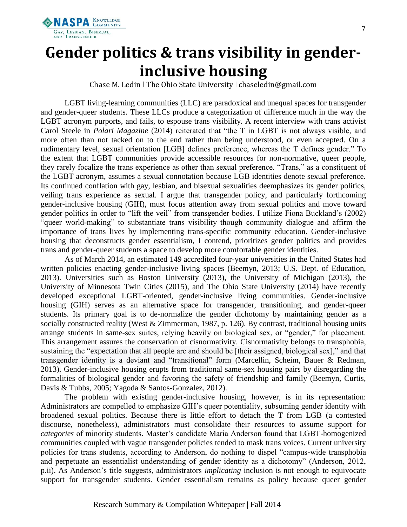

# **Gender politics & trans visibility in genderinclusive housing**

Chase M. Ledin ǀ The Ohio State University ǀ chaseledin@gmail.com

LGBT living-learning communities (LLC) are paradoxical and unequal spaces for transgender and gender-queer students. These LLCs produce a categorization of difference much in the way the LGBT acronym purports, and fails, to espouse trans visibility. A recent interview with trans activist Carol Steele in *Polari Magazine* (2014) reiterated that "the T in LGBT is not always visible, and more often than not tacked on to the end rather than being understood, or even accepted. On a rudimentary level, sexual orientation [LGB] defines preference, whereas the T defines gender." To the extent that LGBT communities provide accessible resources for non-normative, queer people, they rarely focalize the trans experience as other than sexual preference. "Trans," as a constituent of the LGBT acronym, assumes a sexual connotation because LGB identities denote sexual preference. Its continued conflation with gay, lesbian, and bisexual sexualities deemphasizes its gender politics, veiling trans experience as sexual. I argue that transgender policy, and particularly forthcoming gender-inclusive housing (GIH), must focus attention away from sexual politics and move toward gender politics in order to "lift the veil" from transgender bodies. I utilize Fiona Buckland's (2002) "queer world-making" to substantiate trans visibility though community dialogue and affirm the importance of trans lives by implementing trans-specific community education. Gender-inclusive housing that deconstructs gender essentialism, I contend, prioritizes gender politics and provides trans and gender-queer students a space to develop more comfortable gender identities.

As of March 2014, an estimated 149 accredited four-year universities in the United States had written policies enacting gender-inclusive living spaces (Beemyn, 2013; U.S. Dept. of Education, 2013). Universities such as Boston University (2013), the University of Michigan (2013), the University of Minnesota Twin Cities (2015), and The Ohio State University (2014) have recently developed exceptional LGBT-oriented, gender-inclusive living communities. Gender-inclusive housing (GIH) serves as an alternative space for transgender, transitioning, and gender-queer students. Its primary goal is to de-normalize the gender dichotomy by maintaining gender as a socially constructed reality (West & Zimmerman, 1987, p. 126). By contrast, traditional housing units arrange students in same-sex suites, relying heavily on biological sex, or "gender," for placement. This arrangement assures the conservation of cisnormativity. Cisnormativity belongs to transphobia, sustaining the "expectation that all people are and should be [their assigned, biological sex]," and that transgender identity is a deviant and "transitional" form (Marcellin, Scheim, Bauer & Redman, 2013). Gender-inclusive housing erupts from traditional same-sex housing pairs by disregarding the formalities of biological gender and favoring the safety of friendship and family (Beemyn, Curtis, Davis & Tubbs, 2005; Yagoda & Santos-Gonzalez, 2012).

The problem with existing gender-inclusive housing, however, is in its representation: Administrators are compelled to emphasize GIH's queer potentiality, subsuming gender identity with broadened sexual politics. Because there is little effort to detach the T from LGB (a contested discourse, nonetheless), administrators must consolidate their resources to assume support for *categories* of minority students. Master's candidate Maria Anderson found that LGBT-homogenized communities coupled with vague transgender policies tended to mask trans voices. Current university policies for trans students, according to Anderson, do nothing to dispel "campus-wide transphobia and perpetuate an essentialist understanding of gender identity as a dichotomy" (Anderson, 2012, p.ii). As Anderson's title suggests, administrators *implicating* inclusion is not enough to equivocate support for transgender students. Gender essentialism remains as policy because queer gender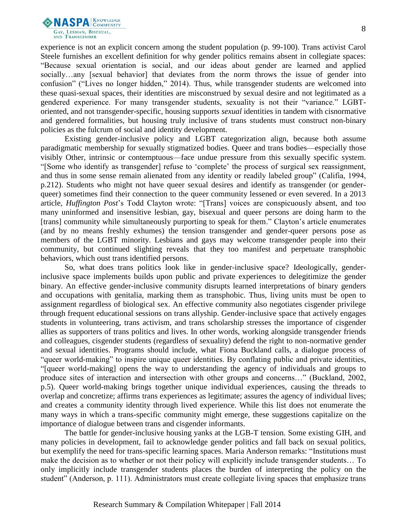

experience is not an explicit concern among the student population (p. 99-100). Trans activist Carol Steele furnishes an excellent definition for why gender politics remains absent in collegiate spaces: "Because sexual orientation is social, and our ideas about gender are learned and applied socially…any [sexual behavior] that deviates from the norm throws the issue of gender into confusion" ("Lives no longer hidden," 2014). Thus, while transgender students are welcomed into these quasi-sexual spaces, their identities are misconstrued by sexual desire and not legitimated as a gendered experience. For many transgender students, sexuality is not their "variance." LGBToriented, and not transgender-specific, housing supports *sexual* identities in tandem with cisnormative and gendered formalities, but housing truly inclusive of trans students must construct non-binary policies as the fulcrum of social and identity development.

Existing gender-inclusive policy and LGBT categorization align, because both assume paradigmatic membership for sexually stigmatized bodies. Queer and trans bodies—especially those visibly Other, intrinsic or contemptuous—face undue pressure from this sexually specific system. "[Some who identify as transgender] refuse to 'complete' the process of surgical sex reassignment, and thus in some sense remain alienated from any identity or readily labeled group" (Califia, 1994, p.212). Students who might not have queer sexual desires and identify as transgender (or genderqueer) sometimes find their connection to the queer community lessened or even severed. In a 2013 article, *Huffington Post*'s Todd Clayton wrote: "[Trans] voices are conspicuously absent, and too many uninformed and insensitive lesbian, gay, bisexual and queer persons are doing harm to the [trans] community while simultaneously purporting to speak for them." Clayton's article enumerates (and by no means freshly exhumes) the tension transgender and gender-queer persons pose as members of the LGBT minority. Lesbians and gays may welcome transgender people into their community, but continued slighting reveals that they too manifest and perpetuate transphobic behaviors, which oust trans identified persons.

So, what does trans politics look like in gender-inclusive space? Ideologically, genderinclusive space implements builds upon public and private experiences to delegitimize the gender binary. An effective gender-inclusive community disrupts learned interpretations of binary genders and occupations with genitalia, marking them as transphobic. Thus, living units must be open to assignment regardless of biological sex. An effective community also negotiates cisgender privilege through frequent educational sessions on trans allyship. Gender-inclusive space that actively engages students in volunteering, trans activism, and trans scholarship stresses the importance of cisgender allies as supporters of trans politics and lives. In other words, working alongside transgender friends and colleagues, cisgender students (regardless of sexuality) defend the right to non-normative gender and sexual identities. Programs should include, what Fiona Buckland calls, a dialogue process of "queer world-making" to inspire unique queer identities. By conflating public and private identities, "[queer world-making] opens the way to understanding the agency of individuals and groups to produce sites of interaction and intersection with other groups and concerns…" (Buckland, 2002, p.5). Queer world-making brings together unique individual experiences, causing the threads to overlap and concretize; affirms trans experiences as legitimate; assures the agency of individual lives; and creates a community identity through lived experience. While this list does not enumerate the many ways in which a trans-specific community might emerge, these suggestions capitalize on the importance of dialogue between trans and cisgender informants.

The battle for gender-inclusive housing yanks at the LGB-T tension. Some existing GIH, and many policies in development, fail to acknowledge gender politics and fall back on sexual politics, but exemplify the need for trans-specific learning spaces. Maria Anderson remarks: "Institutions must make the decision as to whether or not their policy will explicitly include transgender students… To only implicitly include transgender students places the burden of interpreting the policy on the student" (Anderson, p. 111). Administrators must create collegiate living spaces that emphasize trans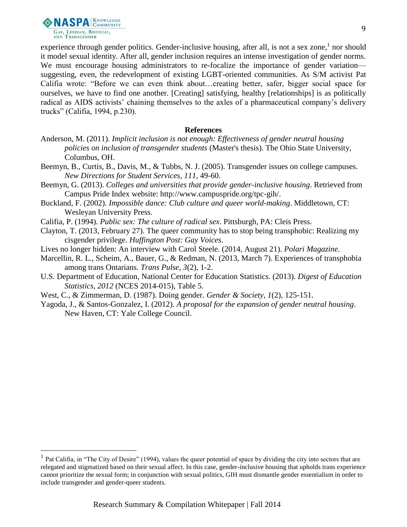

l

experience through gender politics. Gender-inclusive housing, after all, is not a sex zone,<sup>1</sup> nor should it model sexual identity. After all, gender inclusion requires an intense investigation of gender norms. We must encourage housing administrators to re-focalize the importance of gender variation suggesting, even, the redevelopment of existing LGBT-oriented communities. As S/M activist Pat Califia wrote: "Before we can even think about…creating better, safer, bigger social space for ourselves, we have to find one another. [Creating] satisfying, healthy [relationships] is as politically radical as AIDS activists' chaining themselves to the axles of a pharmaceutical company's delivery trucks" (Califia, 1994, p.230).

#### **References**

- Anderson, M. (2011). *Implicit inclusion is not enough: Effectiveness of gender neutral housing policies on inclusion of transgender students* (Master's thesis). The Ohio State University, Columbus, OH.
- Beemyn, B., Curtis, B., Davis, M., & Tubbs, N. J. (2005). Transgender issues on college campuses. *New Directions for Student Services*, *111*, 49-60.
- Beemyn, G. (2013). *Colleges and universities that provide gender-inclusive housing*. Retrieved from Campus Pride Index website: http://www.campuspride.org/tpc-gih/.
- Buckland, F. (2002). *Impossible dance: Club culture and queer world-making*. Middletown, CT: Wesleyan University Press.
- Califia, P. (1994). *Public sex: The culture of radical sex*. Pittsburgh, PA: Cleis Press.
- Clayton, T. (2013, February 27). The queer community has to stop being transphobic: Realizing my cisgender privilege. *Huffington Post: Gay Voices*.
- Lives no longer hidden: An interview with Carol Steele. (2014, August 21). *Polari Magazine*.
- Marcellin, R. L., Scheim, A., Bauer, G., & Redman, N. (2013, March 7). Experiences of transphobia among trans Ontarians. *Trans Pulse*, *3*(2), 1-2.
- U.S. Department of Education, National Center for Education Statistics. (2013). *Digest of Education Statistics, 2012* (NCES 2014-015), Table 5.
- West, C., & Zimmerman, D. (1987). Doing gender. *Gender & Society*, *1*(2), 125-151.
- Yagoda, J., & Santos-Gonzalez, I. (2012). *A proposal for the expansion of gender neutral housing*. New Haven, CT: Yale College Council.

 $<sup>1</sup>$  Pat Califia, in "The City of Desire" (1994), values the queer potential of space by dividing the city into sectors that are</sup> relegated and stigmatized based on their sexual affect. In this case, gender-inclusive housing that upholds trans experience cannot prioritize the sexual form; in conjunction with sexual politics, GIH must dismantle gender essentialism in order to include transgender and gender-queer students.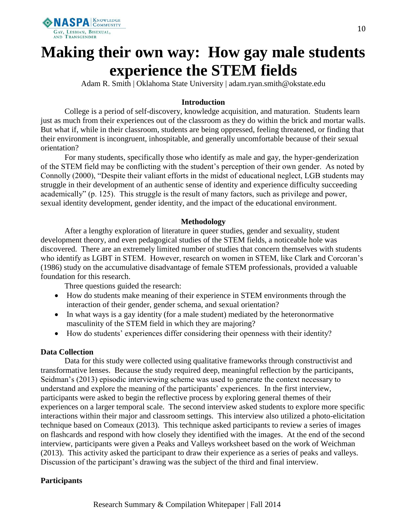

# **Making their own way: How gay male students experience the STEM fields**

Adam R. Smith | Oklahoma State University | adam.ryan.smith@okstate.edu

# **Introduction**

College is a period of self-discovery, knowledge acquisition, and maturation. Students learn just as much from their experiences out of the classroom as they do within the brick and mortar walls. But what if, while in their classroom, students are being oppressed, feeling threatened, or finding that their environment is incongruent, inhospitable, and generally uncomfortable because of their sexual orientation?

For many students, specifically those who identify as male and gay, the hyper-genderization of the STEM field may be conflicting with the student's perception of their own gender. As noted by Connolly (2000), "Despite their valiant efforts in the midst of educational neglect, LGB students may struggle in their development of an authentic sense of identity and experience difficulty succeeding academically" (p. 125). This struggle is the result of many factors, such as privilege and power, sexual identity development, gender identity, and the impact of the educational environment.

## **Methodology**

After a lengthy exploration of literature in queer studies, gender and sexuality, student development theory, and even pedagogical studies of the STEM fields, a noticeable hole was discovered. There are an extremely limited number of studies that concern themselves with students who identify as LGBT in STEM. However, research on women in STEM, like Clark and Corcoran's (1986) study on the accumulative disadvantage of female STEM professionals, provided a valuable foundation for this research.

Three questions guided the research:

- How do students make meaning of their experience in STEM environments through the interaction of their gender, gender schema, and sexual orientation?
- In what ways is a gay identity (for a male student) mediated by the heteronormative masculinity of the STEM field in which they are majoring?
- How do students' experiences differ considering their openness with their identity?

## **Data Collection**

Data for this study were collected using qualitative frameworks through constructivist and transformative lenses. Because the study required deep, meaningful reflection by the participants, Seidman's (2013) episodic interviewing scheme was used to generate the context necessary to understand and explore the meaning of the participants' experiences. In the first interview, participants were asked to begin the reflective process by exploring general themes of their experiences on a larger temporal scale. The second interview asked students to explore more specific interactions within their major and classroom settings. This interview also utilized a photo-elicitation technique based on Comeaux (2013). This technique asked participants to review a series of images on flashcards and respond with how closely they identified with the images. At the end of the second interview, participants were given a Peaks and Valleys worksheet based on the work of Weichman (2013). This activity asked the participant to draw their experience as a series of peaks and valleys. Discussion of the participant's drawing was the subject of the third and final interview.

## **Participants**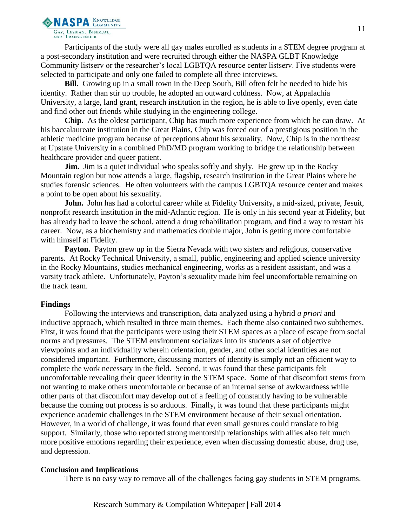

Participants of the study were all gay males enrolled as students in a STEM degree program at a post-secondary institution and were recruited through either the NASPA GLBT Knowledge Community listserv or the researcher's local LGBTQA resource center listserv. Five students were selected to participate and only one failed to complete all three interviews.

**Bill.** Growing up in a small town in the Deep South, Bill often felt he needed to hide his identity. Rather than stir up trouble, he adopted an outward coldness. Now, at Appalachia University, a large, land grant, research institution in the region, he is able to live openly, even date and find other out friends while studying in the engineering college.

**Chip.** As the oldest participant, Chip has much more experience from which he can draw. At his baccalaureate institution in the Great Plains, Chip was forced out of a prestigious position in the athletic medicine program because of perceptions about his sexuality. Now, Chip is in the northeast at Upstate University in a combined PhD/MD program working to bridge the relationship between healthcare provider and queer patient.

**Jim.** Jim is a quiet individual who speaks softly and shyly. He grew up in the Rocky Mountain region but now attends a large, flagship, research institution in the Great Plains where he studies forensic sciences. He often volunteers with the campus LGBTQA resource center and makes a point to be open about his sexuality.

**John.** John has had a colorful career while at Fidelity University, a mid-sized, private, Jesuit, nonprofit research institution in the mid-Atlantic region. He is only in his second year at Fidelity, but has already had to leave the school, attend a drug rehabilitation program, and find a way to restart his career. Now, as a biochemistry and mathematics double major, John is getting more comfortable with himself at Fidelity.

Payton. Payton grew up in the Sierra Nevada with two sisters and religious, conservative parents. At Rocky Technical University, a small, public, engineering and applied science university in the Rocky Mountains, studies mechanical engineering, works as a resident assistant, and was a varsity track athlete. Unfortunately, Payton's sexuality made him feel uncomfortable remaining on the track team.

#### **Findings**

Following the interviews and transcription, data analyzed using a hybrid *a priori* and inductive approach, which resulted in three main themes. Each theme also contained two subthemes. First, it was found that the participants were using their STEM spaces as a place of escape from social norms and pressures. The STEM environment socializes into its students a set of objective viewpoints and an individuality wherein orientation, gender, and other social identities are not considered important. Furthermore, discussing matters of identity is simply not an efficient way to complete the work necessary in the field. Second, it was found that these participants felt uncomfortable revealing their queer identity in the STEM space. Some of that discomfort stems from not wanting to make others uncomfortable or because of an internal sense of awkwardness while other parts of that discomfort may develop out of a feeling of constantly having to be vulnerable because the coming out process is so arduous. Finally, it was found that these participants might experience academic challenges in the STEM environment because of their sexual orientation. However, in a world of challenge, it was found that even small gestures could translate to big support. Similarly, those who reported strong mentorship relationships with allies also felt much more positive emotions regarding their experience, even when discussing domestic abuse, drug use, and depression.

#### **Conclusion and Implications**

There is no easy way to remove all of the challenges facing gay students in STEM programs.